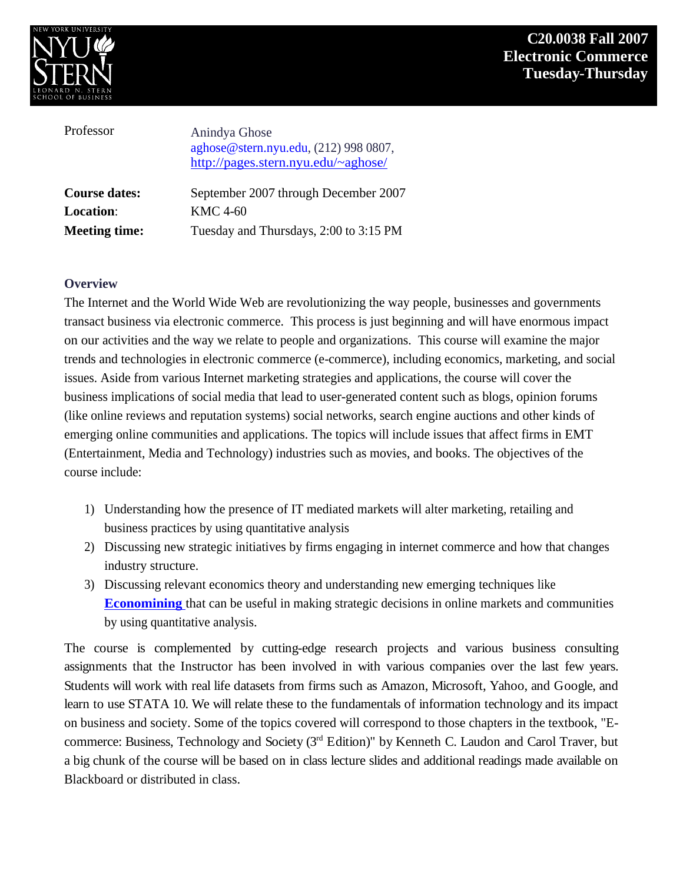

| Professor            | Anindya Ghose<br>aghose@stern.nyu.edu, (212) 998 0807,<br>http://pages.stern.nyu.edu/~aghose/ |
|----------------------|-----------------------------------------------------------------------------------------------|
| <b>Course dates:</b> | September 2007 through December 2007                                                          |
| <b>Location:</b>     | KMC 4-60                                                                                      |
| <b>Meeting time:</b> | Tuesday and Thursdays, 2:00 to 3:15 PM                                                        |

#### **Overview**

The Internet and the World Wide Web are revolutionizing the way people, businesses and governments transact business via electronic commerce. This process is just beginning and will have enormous impact on our activities and the way we relate to people and organizations. This course will examine the major trends and technologies in electronic commerce (e-commerce), including economics, marketing, and social issues. Aside from various Internet marketing strategies and applications, the course will cover the business implications of social media that lead to user-generated content such as blogs, opinion forums (like online reviews and reputation systems) social networks, search engine auctions and other kinds of emerging online communities and applications. The topics will include issues that affect firms in EMT (Entertainment, Media and Technology) industries such as movies, and books. The objectives of the course include: **C20.0038 External Constrainers**<br> **C20.0038 Fall 2007**<br> **CENT CONTINENTS**<br> **CENT CONTINENTS**<br> **CONTEX CONTEX CONTINENTS**<br> **CONTEX CONTEX CONTEX CONTINENTS**<br> **CONTEX CONTEX CONTINENTS**<br> **CONTEX CONTEX CONTEX CONTEX CONTEX C** 

- 1) Understanding how the presence of IT mediated markets will alter marketing, retailing and business practices by using quantitative analysis
- 2) Discussing new strategic initiatives by firms engaging in internet commerce and how that changes industry structure.
- 3) Discussing relevant economics theory and understanding new emerging techniques like **Economining** that can be useful in making strategic decisions in online markets and communities by using quantitative analysis.

The course is complemented by cutting-edge research projects and various business consulting assignments that the Instructor has been involved in with various companies over the last few years. Students will work with real life datasets from firms such as Amazon, Microsoft, Yahoo, and Google, and learn to use STATA 10. We will relate these to the fundamentals of information technology and its impact on business and society. Some of the topics covered will correspond to those chapters in the textbook, "E commerce: Business, Technology and Society (3<sup>rd</sup> Edition)" by Kenneth C. Laudon and Carol Traver, but a big chunk of the course will be based on in class lecture slides and additional readings made available on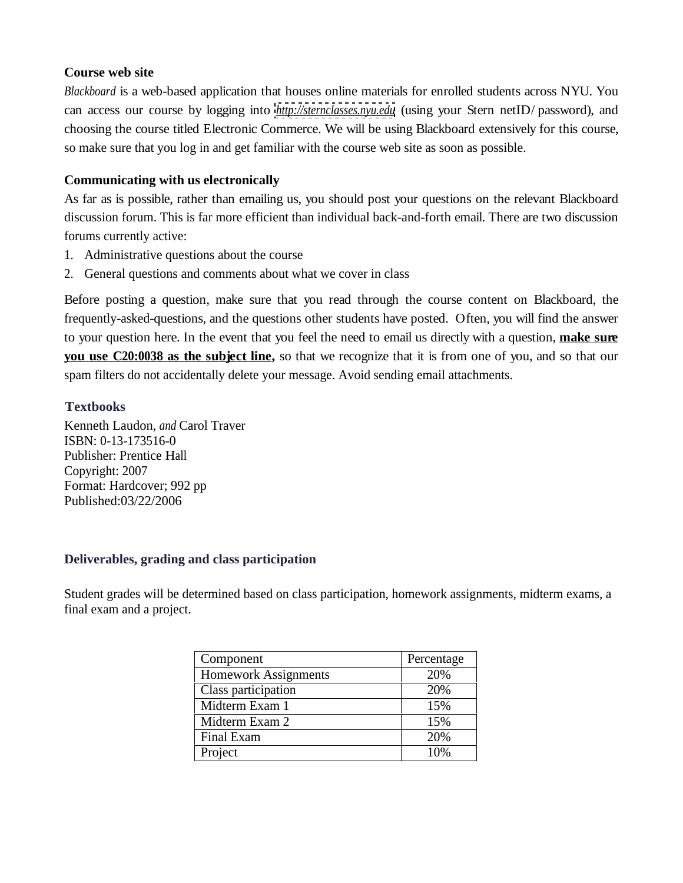### **Course web site**

*Blackboard* is a web-based application that houses online materials for enrolled students across NYU. You can access our course by logging into *<http://sternclasses.nyu.edu>* (using your Stern netID/ password), and choosing the course titled Electronic Commerce. We will be using Blackboard extensively for this course, so make sure that you log in and get familiar with the course web site as soon as possible.

## **Communicating with us electronically**

As far as is possible, rather than emailing us, you should post your questions on the relevant Blackboard discussion forum. This is far more efficient than individual back-and-forth email. There are two discussion forums currently active:

- 1. Administrative questions about the course
- 2. General questions and comments about what we cover in class

Before posting a question, make sure that you read through the course content on Blackboard, the frequently-asked-questions, and the questions other students have posted. Often, you will find the answer to your question here. In the event that you feel the need to email us directly with a question, **make sure you use C20:0038 as the subject line,** so that we recognize that it is from one of you, and so that our spam filters do not accidentally delete your message. Avoid sending email attachments.

## **Textbooks**

Kenneth Laudon, *and* Carol Traver ISBN: 0-13-173516-0 Publisher: Prentice Hall Copyright: 2007 Format: Hardcover; 992 pp Published:03/22/2006

#### **Deliverables, grading and class participation**

Student grades will be determined based on class participation, homework assignments, midterm exams, a final exam and a project.

| Component            | Percentage |
|----------------------|------------|
| Homework Assignments | 20%        |
| Class participation  | 20%        |
| Midterm Exam 1       | 15%        |
| Midterm Exam 2       | 15%        |
| Final Exam           | 20%        |
| l Project            | 10%        |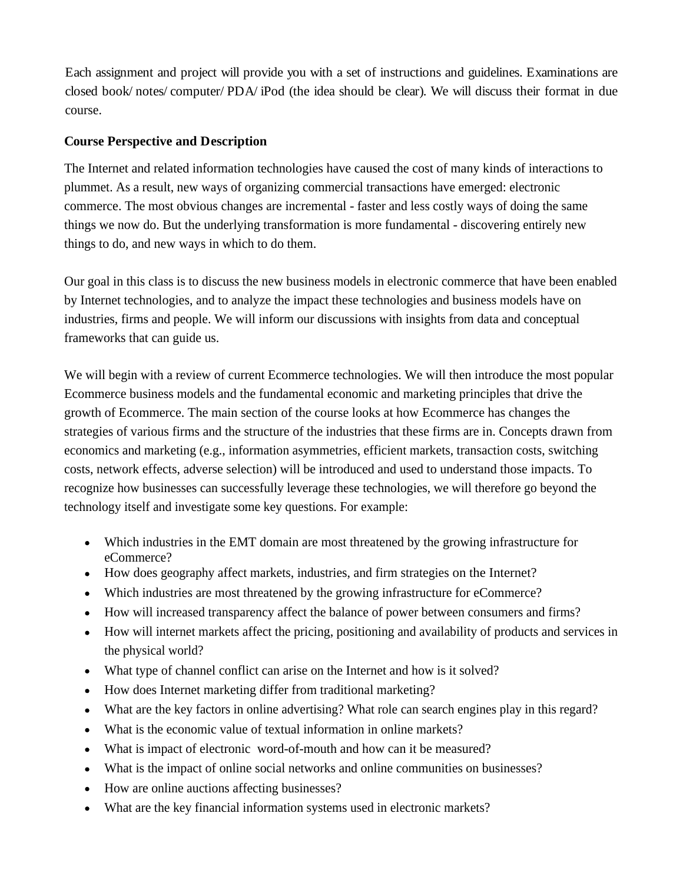Each assignment and project will provide you with a set of instructions and guidelines. Examinations are closed book/ notes/ computer/ PDA/ iPod (the idea should be clear). We will discuss their format in due course.

# **Course Perspective and Description**

The Internet and related information technologies have caused the cost of many kinds of interactions to plummet. As a result, new ways of organizing commercial transactions have emerged: electronic commerce. The most obvious changes are incremental - faster and less costly ways of doing the same things we now do. But the underlying transformation is more fundamental - discovering entirely new things to do, and new ways in which to do them.

Our goal in this class is to discuss the new business models in electronic commerce that have been enabled by Internet technologies, and to analyze the impact these technologies and business models have on industries, firms and people. We will inform our discussions with insights from data and conceptual frameworks that can guide us.

We will begin with a review of current Ecommerce technologies. We will then introduce the most popular Ecommerce business models and the fundamental economic and marketing principles that drive the growth of Ecommerce. The main section of the course looks at how Ecommerce has changes the strategies of various firms and the structure of the industries that these firms are in. Concepts drawn from economics and marketing (e.g., information asymmetries, efficient markets, transaction costs, switching costs, network effects, adverse selection) will be introduced and used to understand those impacts. To recognize how businesses can successfully leverage these technologies, we will therefore go beyond the technology itself and investigate some key questions. For example:

- Which industries in the EMT domain are most threatened by the growing infrastructure for eCommerce?
- How does geography affect markets, industries, and firm strategies on the Internet?
- Which industries are most threatened by the growing infrastructure for eCommerce?
- How will increased transparency affect the balance of power between consumers and firms?
- How will internet markets affect the pricing, positioning and availability of products and services in the physical world?
- What type of channel conflict can arise on the Internet and how is it solved?
- How does Internet marketing differ from traditional marketing?
- What are the key factors in online advertising? What role can search engines play in this regard?
- What is the economic value of textual information in online markets?
- What is impact of electronic word-of-mouth and how can it be measured?
- What is the impact of online social networks and online communities on businesses?
- How are online auctions affecting businesses?
- What are the key financial information systems used in electronic markets?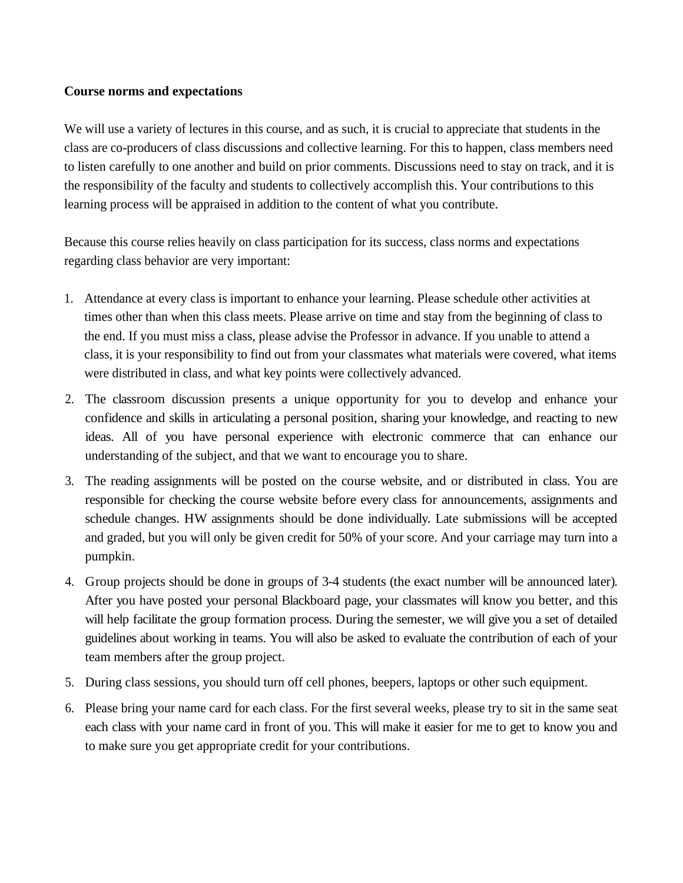### **Course norms and expectations**

We will use a variety of lectures in this course, and as such, it is crucial to appreciate that students in the class are co-producers of class discussions and collective learning. For this to happen, class members need to listen carefully to one another and build on prior comments. Discussions need to stay on track, and it is the responsibility of the faculty and students to collectively accomplish this. Your contributions to this learning process will be appraised in addition to the content of what you contribute.

Because this course relies heavily on class participation for its success, class norms and expectations regarding class behavior are very important:

- 1. Attendance at every class is important to enhance your learning. Please schedule other activities at times other than when this class meets. Please arrive on time and stay from the beginning of class to the end. If you must miss a class, please advise the Professor in advance. If you unable to attend a class, it is your responsibility to find out from your classmates what materials were covered, what items were distributed in class, and what key points were collectively advanced.
- 2. The classroom discussion presents a unique opportunity for you to develop and enhance your confidence and skills in articulating a personal position, sharing your knowledge, and reacting to new ideas. All of you have personal experience with electronic commerce that can enhance our understanding of the subject, and that we want to encourage you to share.
- 3. The reading assignments will be posted on the course website, and or distributed in class. You are responsible for checking the course website before every class for announcements, assignments and schedule changes. HW assignments should be done individually. Late submissions will be accepted and graded, but you will only be given credit for 50% of your score. And your carriage may turn into a pumpkin.
- 4. Group projects should be done in groups of 3-4 students (the exact number will be announced later). After you have posted your personal Blackboard page, your classmates will know you better, and this will help facilitate the group formation process. During the semester, we will give you a set of detailed guidelines about working in teams. You will also be asked to evaluate the contribution of each of your team members after the group project.
- 5. During class sessions, you should turn off cell phones, beepers, laptops or other such equipment.
- 6. Please bring your name card for each class. For the first several weeks, please try to sit in the same seat each class with your name card in front of you. This will make it easier for me to get to know you and to make sure you get appropriate credit for your contributions.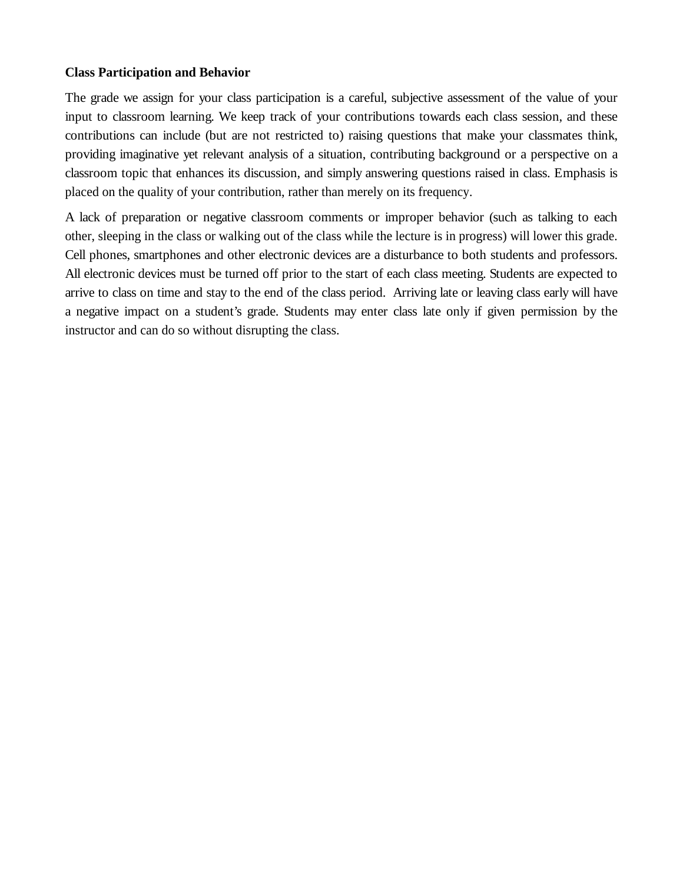#### **Class Participation and Behavior**

The grade we assign for your class participation is a careful, subjective assessment of the value of your input to classroom learning. We keep track of your contributions towards each class session, and these contributions can include (but are not restricted to) raising questions that make your classmates think, providing imaginative yet relevant analysis of a situation, contributing background or a perspective on a classroom topic that enhances its discussion, and simply answering questions raised in class. Emphasis is placed on the quality of your contribution, rather than merely on its frequency.

A lack of preparation or negative classroom comments or improper behavior (such as talking to each other, sleeping in the class or walking out of the class while the lecture is in progress) will lower this grade. Cell phones, smartphones and other electronic devices are a disturbance to both students and professors. All electronic devices must be turned off prior to the start of each class meeting. Students are expected to arrive to class on time and stay to the end of the class period. Arriving late or leaving class early will have a negative impact on a student's grade. Students may enter class late only if given permission by the instructor and can do so without disrupting the class.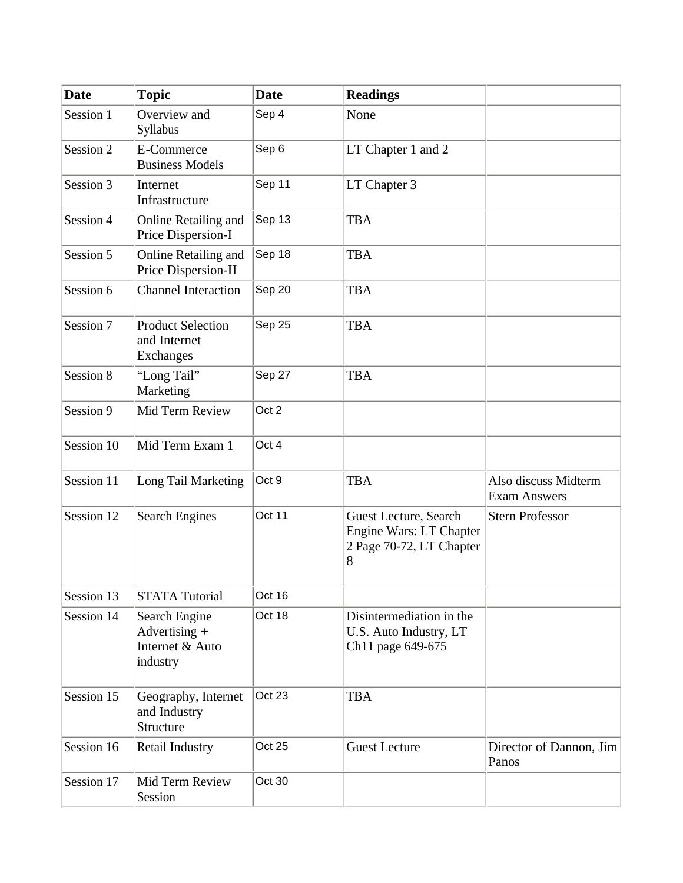| Date       | $ {\bf Topic} $                                                                | $\vert$ Date   | Readings                                                                       |                                             |
|------------|--------------------------------------------------------------------------------|----------------|--------------------------------------------------------------------------------|---------------------------------------------|
| Session 1  | $\sqrt{O}$ Overview and<br>Syllabus                                            | $\vert$ Sep 4  | $\vert$ None                                                                   |                                             |
| Session 2  | $E$ -Commerce<br><b>Business Models</b>                                        | $\vert$ Sep 6  | LT Chapter 1 and 2                                                             |                                             |
| Session 3  | Internet<br>Infrastructure                                                     | $\vert$ Sep 11 | LT Chapter 3                                                                   |                                             |
| Session 4  | Online Retailing and Sep 13<br>Price Dispersion-I                              |                | <b>TBA</b>                                                                     |                                             |
| Session 5  | Online Retailing and $\vert$ Sep 18<br>Price Dispersion-II                     |                | <b>TBA</b>                                                                     |                                             |
| Session 6  | Channel Interaction Sep 20                                                     |                | <b>TBA</b>                                                                     |                                             |
| Session 7  | Product Selection<br>and Internet<br>Exchanges                                 | $\vert$ Sep 25 | <b>TBA</b>                                                                     |                                             |
| Session 8  | "Long Tail"<br>Marketing                                                       | $\vert$ Sep 27 | <b>TBA</b>                                                                     |                                             |
| Session 9  | Mid Term Review                                                                | $\vert$ Oct 2  |                                                                                |                                             |
|            | Session 10   Mid Term Exam 1                                                   | $\vert$ Oct 4  |                                                                                |                                             |
|            | Session 11   Long Tail Marketing $\vert$ Oct 9                                 |                | <b>TBA</b>                                                                     | Also discuss Midterm<br><b>Exam Answers</b> |
|            | Session 12 Search Engines                                                      | $\vert$ Oct 11 | Guest Lecture, Search<br>Engine Wars: LT Chapter<br>$2$ Page 70-72, LT Chapter | Stern Professor                             |
|            | Session 13 STATA Tutorial                                                      | $\vert$ Oct 16 |                                                                                |                                             |
| Session 14 | Search Engine<br>$\operatorname{Advertising}$ +<br>Internet & Auto<br>industry | $\vert$ Oct 18 | Disintermediation in the<br>U.S. Auto Industry, LT<br>Ch11 page $649-675$      |                                             |
| Session 15 | $\vert$ Geography, Internet $\vert$ Oct 23<br>and Industry<br>Structure        |                | <b>TBA</b>                                                                     |                                             |
|            | Session 16   Retail Industry                                                   | $\vert$ Oct 25 | Guest Lecture                                                                  | Director of Dannon, $\text{Jim}$<br>Panos   |
| Session 17 | Mid Term Review<br>Session                                                     | $\vert$ Oct 30 |                                                                                |                                             |